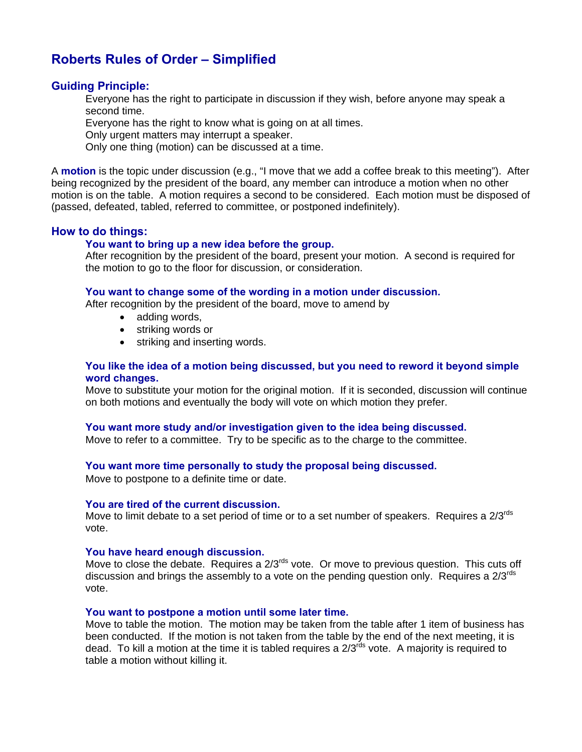# **Roberts Rules of Order – Simplified**

# **Guiding Principle:**

Everyone has the right to participate in discussion if they wish, before anyone may speak a second time.

Everyone has the right to know what is going on at all times.

Only urgent matters may interrupt a speaker.

Only one thing (motion) can be discussed at a time.

A **motion** is the topic under discussion (e.g., "I move that we add a coffee break to this meeting"). After being recognized by the president of the board, any member can introduce a motion when no other motion is on the table. A motion requires a second to be considered. Each motion must be disposed of (passed, defeated, tabled, referred to committee, or postponed indefinitely).

# **How to do things:**

# **You want to bring up a new idea before the group.**

After recognition by the president of the board, present your motion. A second is required for the motion to go to the floor for discussion, or consideration.

#### **You want to change some of the wording in a motion under discussion.**

After recognition by the president of the board, move to amend by

- adding words,
- striking words or
- striking and inserting words.

# **You like the idea of a motion being discussed, but you need to reword it beyond simple word changes.**

Move to substitute your motion for the original motion. If it is seconded, discussion will continue on both motions and eventually the body will vote on which motion they prefer.

# **You want more study and/or investigation given to the idea being discussed.**

Move to refer to a committee. Try to be specific as to the charge to the committee.

# **You want more time personally to study the proposal being discussed.**

Move to postpone to a definite time or date.

#### **You are tired of the current discussion.**

Move to limit debate to a set period of time or to a set number of speakers. Requires a  $2/3^{rds}$ vote.

#### **You have heard enough discussion.**

Move to close the debate. Requires a  $2/3^{rds}$  vote. Or move to previous question. This cuts off discussion and brings the assembly to a vote on the pending question only. Requires a  $2/3^{rds}$ vote.

#### **You want to postpone a motion until some later time.**

Move to table the motion. The motion may be taken from the table after 1 item of business has been conducted. If the motion is not taken from the table by the end of the next meeting, it is dead. To kill a motion at the time it is tabled requires a  $2/3^{rds}$  vote. A majority is required to table a motion without killing it.